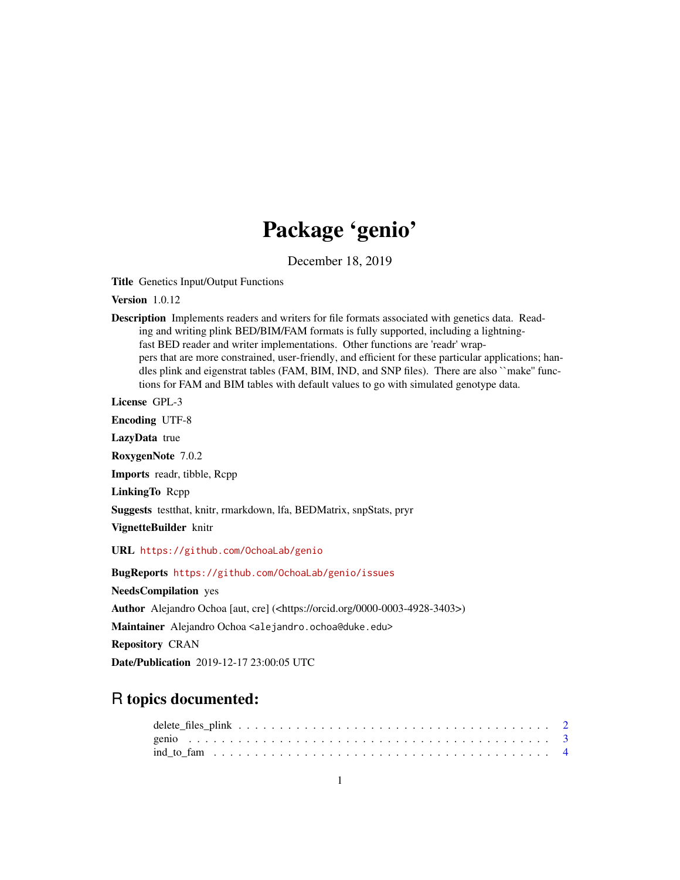## Package 'genio'

December 18, 2019

Title Genetics Input/Output Functions

Version 1.0.12

Description Implements readers and writers for file formats associated with genetics data. Reading and writing plink BED/BIM/FAM formats is fully supported, including a lightningfast BED reader and writer implementations. Other functions are 'readr' wrappers that are more constrained, user-friendly, and efficient for these particular applications; handles plink and eigenstrat tables (FAM, BIM, IND, and SNP files). There are also ``make'' functions for FAM and BIM tables with default values to go with simulated genotype data.

License GPL-3

Encoding UTF-8

LazyData true

RoxygenNote 7.0.2

Imports readr, tibble, Rcpp

LinkingTo Rcpp

Suggests testthat, knitr, rmarkdown, lfa, BEDMatrix, snpStats, pryr

VignetteBuilder knitr

URL <https://github.com/OchoaLab/genio>

BugReports <https://github.com/OchoaLab/genio/issues>

NeedsCompilation yes

Author Alejandro Ochoa [aut, cre] (<https://orcid.org/0000-0003-4928-3403>)

Maintainer Alejandro Ochoa <alejandro.ochoa@duke.edu>

Repository CRAN

Date/Publication 2019-12-17 23:00:05 UTC

### R topics documented: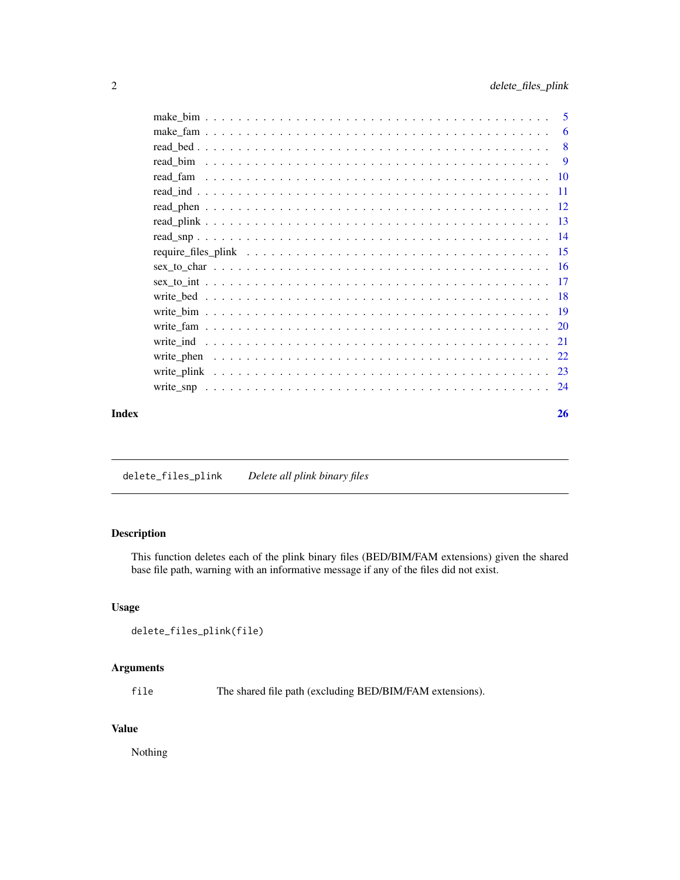<span id="page-1-0"></span>

| Index | 26 |
|-------|----|

delete\_files\_plink *Delete all plink binary files*

### Description

This function deletes each of the plink binary files (BED/BIM/FAM extensions) given the shared base file path, warning with an informative message if any of the files did not exist.

#### Usage

```
delete_files_plink(file)
```
#### Arguments

file The shared file path (excluding BED/BIM/FAM extensions).

#### Value

Nothing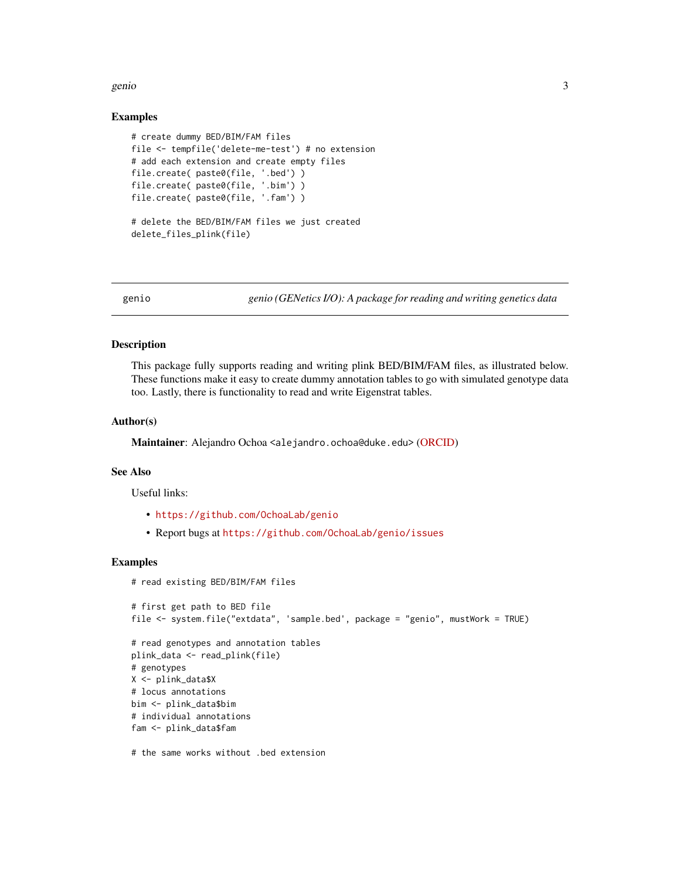#### <span id="page-2-0"></span>genio 33 anni 2008. Il suoi suomen valtaminen suomen valtaminen valtaminen valtaminen valtaminen valtaminen va

#### Examples

```
# create dummy BED/BIM/FAM files
file <- tempfile('delete-me-test') # no extension
# add each extension and create empty files
file.create( paste0(file, '.bed') )
file.create( paste0(file, '.bim') )
file.create( paste0(file, '.fam') )
# delete the BED/BIM/FAM files we just created
delete_files_plink(file)
```
genio *genio (GENetics I/O): A package for reading and writing genetics data*

#### Description

This package fully supports reading and writing plink BED/BIM/FAM files, as illustrated below. These functions make it easy to create dummy annotation tables to go with simulated genotype data too. Lastly, there is functionality to read and write Eigenstrat tables.

#### Author(s)

Maintainer: Alejandro Ochoa <alejandro.ochoa@duke.edu> [\(ORCID\)](https://orcid.org/0000-0003-4928-3403)

#### See Also

Useful links:

- <https://github.com/OchoaLab/genio>
- Report bugs at <https://github.com/OchoaLab/genio/issues>

#### Examples

```
# read existing BED/BIM/FAM files
```

```
# first get path to BED file
file <- system.file("extdata", 'sample.bed', package = "genio", mustWork = TRUE)
# read genotypes and annotation tables
plink_data <- read_plink(file)
# genotypes
X <- plink_data$X
# locus annotations
bim <- plink_data$bim
# individual annotations
fam <- plink_data$fam
```
# the same works without .bed extension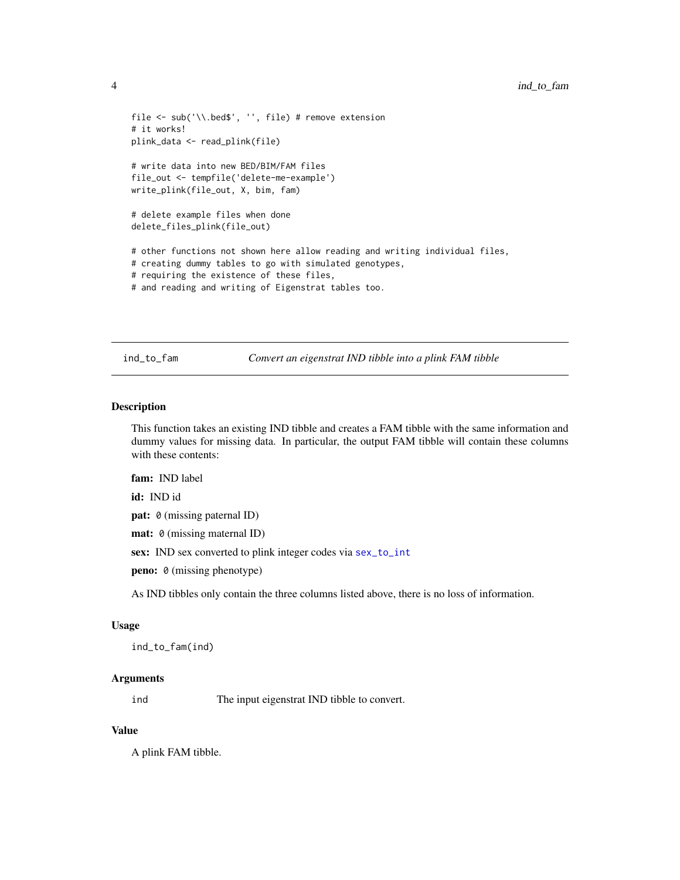```
file <- sub('\\.bed$', '', file) # remove extension
# it works!
plink_data <- read_plink(file)
# write data into new BED/BIM/FAM files
file_out <- tempfile('delete-me-example')
write_plink(file_out, X, bim, fam)
# delete example files when done
delete_files_plink(file_out)
# other functions not shown here allow reading and writing individual files,
# creating dummy tables to go with simulated genotypes,
# requiring the existence of these files,
# and reading and writing of Eigenstrat tables too.
```
ind\_to\_fam *Convert an eigenstrat IND tibble into a plink FAM tibble*

#### Description

This function takes an existing IND tibble and creates a FAM tibble with the same information and dummy values for missing data. In particular, the output FAM tibble will contain these columns with these contents:

fam: IND label

id: IND id

pat: 0 (missing paternal ID)

mat: 0 (missing maternal ID)

sex: IND sex converted to plink integer codes via [sex\\_to\\_int](#page-16-1)

peno: 0 (missing phenotype)

As IND tibbles only contain the three columns listed above, there is no loss of information.

#### Usage

ind\_to\_fam(ind)

#### Arguments

ind The input eigenstrat IND tibble to convert.

#### Value

A plink FAM tibble.

<span id="page-3-0"></span>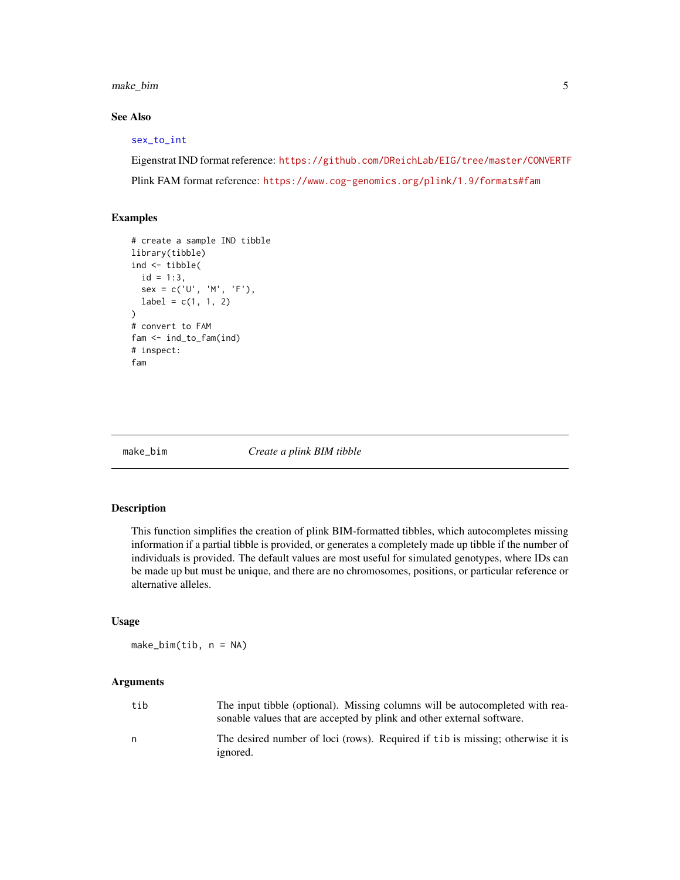<span id="page-4-0"></span>make\_bim 5

#### See Also

#### [sex\\_to\\_int](#page-16-1)

Eigenstrat IND format reference: <https://github.com/DReichLab/EIG/tree/master/CONVERTF> Plink FAM format reference: <https://www.cog-genomics.org/plink/1.9/formats#fam>

#### Examples

```
# create a sample IND tibble
library(tibble)
ind <- tibble(
  id = 1:3,sex = c('U', 'M', 'F'),label = c(1, 1, 2)\lambda# convert to FAM
fam <- ind_to_fam(ind)
# inspect:
fam
```
<span id="page-4-1"></span>

make\_bim *Create a plink BIM tibble*

#### Description

This function simplifies the creation of plink BIM-formatted tibbles, which autocompletes missing information if a partial tibble is provided, or generates a completely made up tibble if the number of individuals is provided. The default values are most useful for simulated genotypes, where IDs can be made up but must be unique, and there are no chromosomes, positions, or particular reference or alternative alleles.

#### Usage

make\_bim(tib, n = NA)

#### Arguments

| tib | The input tibble (optional). Missing columns will be autocompleted with rea-<br>sonable values that are accepted by plink and other external software. |
|-----|--------------------------------------------------------------------------------------------------------------------------------------------------------|
| n   | The desired number of loci (rows). Required if tib is missing; otherwise it is<br><i>ignored.</i>                                                      |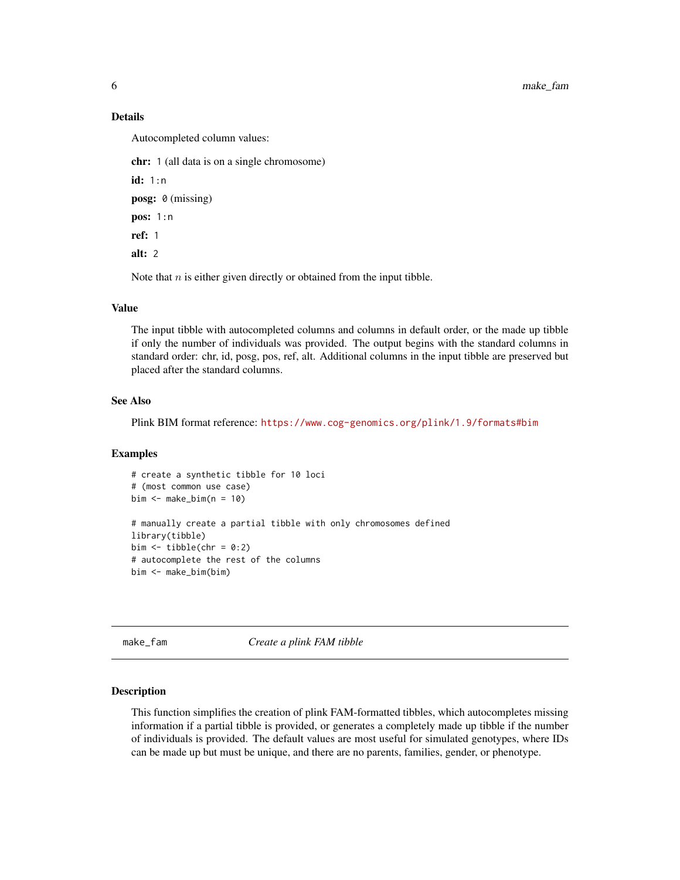#### Details

Autocompleted column values:

chr: 1 (all data is on a single chromosome)

id: 1:n posg: 0 (missing) pos: 1:n ref: 1 alt: 2

Note that  $n$  is either given directly or obtained from the input tibble.

#### Value

The input tibble with autocompleted columns and columns in default order, or the made up tibble if only the number of individuals was provided. The output begins with the standard columns in standard order: chr, id, posg, pos, ref, alt. Additional columns in the input tibble are preserved but placed after the standard columns.

#### See Also

Plink BIM format reference: <https://www.cog-genomics.org/plink/1.9/formats#bim>

#### Examples

```
# create a synthetic tibble for 10 loci
# (most common use case)
bim \leq make_bim(n = 10)
# manually create a partial tibble with only chromosomes defined
library(tibble)
bim \le tibble(chr = 0:2)
# autocomplete the rest of the columns
bim <- make_bim(bim)
```
<span id="page-5-1"></span>make\_fam *Create a plink FAM tibble*

#### Description

This function simplifies the creation of plink FAM-formatted tibbles, which autocompletes missing information if a partial tibble is provided, or generates a completely made up tibble if the number of individuals is provided. The default values are most useful for simulated genotypes, where IDs can be made up but must be unique, and there are no parents, families, gender, or phenotype.

<span id="page-5-0"></span>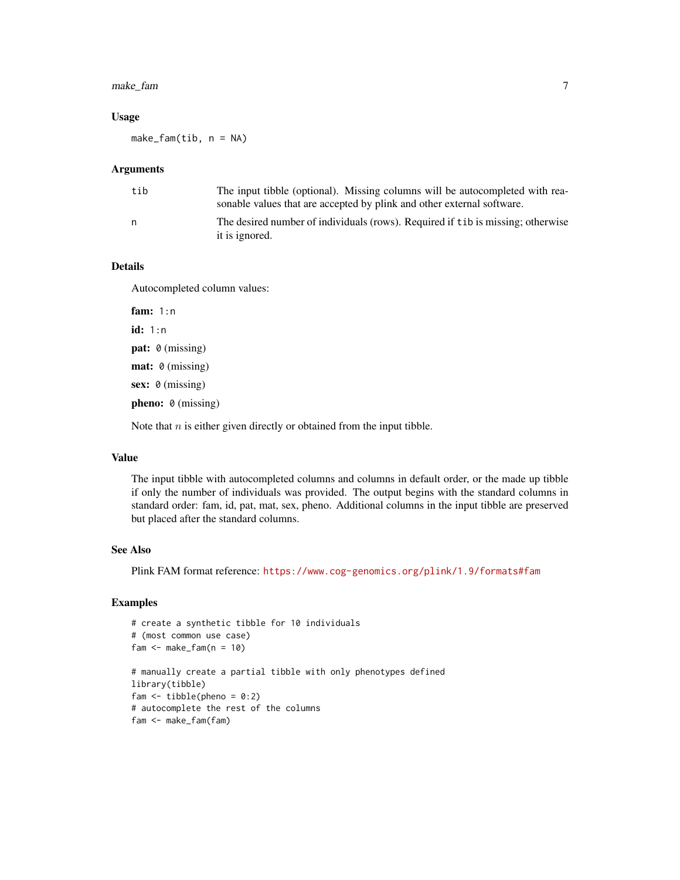#### make\_fam 7

#### Usage

make\_fam(tib, n = NA)

#### **Arguments**

| tib | The input tibble (optional). Missing columns will be autocompleted with rea-<br>sonable values that are accepted by plink and other external software. |
|-----|--------------------------------------------------------------------------------------------------------------------------------------------------------|
| n   | The desired number of individuals (rows). Required if tib is missing; otherwise<br>it is ignored.                                                      |

#### Details

Autocompleted column values:

fam: 1:n id: 1:n pat: 0 (missing) mat: 0 (missing) sex: 0 (missing) pheno: 0 (missing)

Note that  $n$  is either given directly or obtained from the input tibble.

#### Value

The input tibble with autocompleted columns and columns in default order, or the made up tibble if only the number of individuals was provided. The output begins with the standard columns in standard order: fam, id, pat, mat, sex, pheno. Additional columns in the input tibble are preserved but placed after the standard columns.

#### See Also

Plink FAM format reference: <https://www.cog-genomics.org/plink/1.9/formats#fam>

#### Examples

```
# create a synthetic tibble for 10 individuals
# (most common use case)
fam <- make_fam(n = 10)# manually create a partial tibble with only phenotypes defined
library(tibble)
fam \le tibble(pheno = 0:2)
# autocomplete the rest of the columns
fam <- make_fam(fam)
```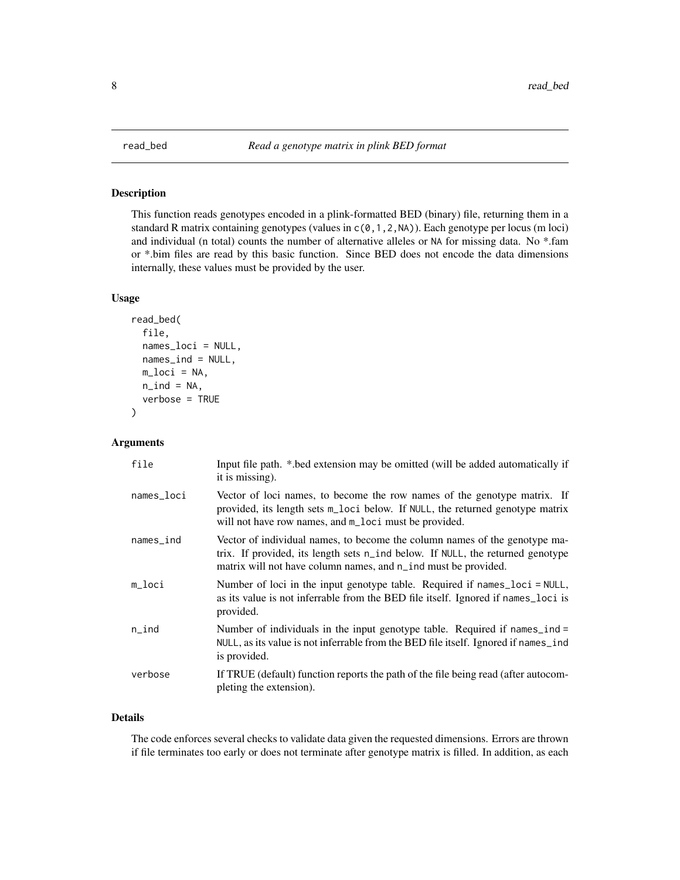#### Description

This function reads genotypes encoded in a plink-formatted BED (binary) file, returning them in a standard R matrix containing genotypes (values in  $c(0,1,2,N)$ ). Each genotype per locus (m loci) and individual (n total) counts the number of alternative alleles or NA for missing data. No \*.fam or \*.bim files are read by this basic function. Since BED does not encode the data dimensions internally, these values must be provided by the user.

#### Usage

```
read_bed(
  file,
  names_loci = NULL,
 names_ind = NULL,
 m\_loci = NA,
 n\_ind = NA,
  verbose = TRUE
)
```
#### Arguments

| file         | Input file path. *.bed extension may be omitted (will be added automatically if<br>it is missing).                                                                                                                             |
|--------------|--------------------------------------------------------------------------------------------------------------------------------------------------------------------------------------------------------------------------------|
| names_loci   | Vector of loci names, to become the row names of the genotype matrix. If<br>provided, its length sets m_loci below. If NULL, the returned genotype matrix<br>will not have row names, and m_loci must be provided.             |
| $names\_ind$ | Vector of individual names, to become the column names of the genotype ma-<br>trix. If provided, its length sets n_ind below. If NULL, the returned genotype<br>matrix will not have column names, and n_ind must be provided. |
| m_loci       | Number of loci in the input genotype table. Required if names_loci = NULL,<br>as its value is not inferrable from the BED file itself. Ignored if names_loci is<br>provided.                                                   |
| $n$ _ind     | Number of individuals in the input genotype table. Required if names_ind =<br>NULL, as its value is not inferrable from the BED file itself. Ignored if names_ind<br>is provided.                                              |
| verbose      | If TRUE (default) function reports the path of the file being read (after autocom-<br>pleting the extension).                                                                                                                  |

#### Details

The code enforces several checks to validate data given the requested dimensions. Errors are thrown if file terminates too early or does not terminate after genotype matrix is filled. In addition, as each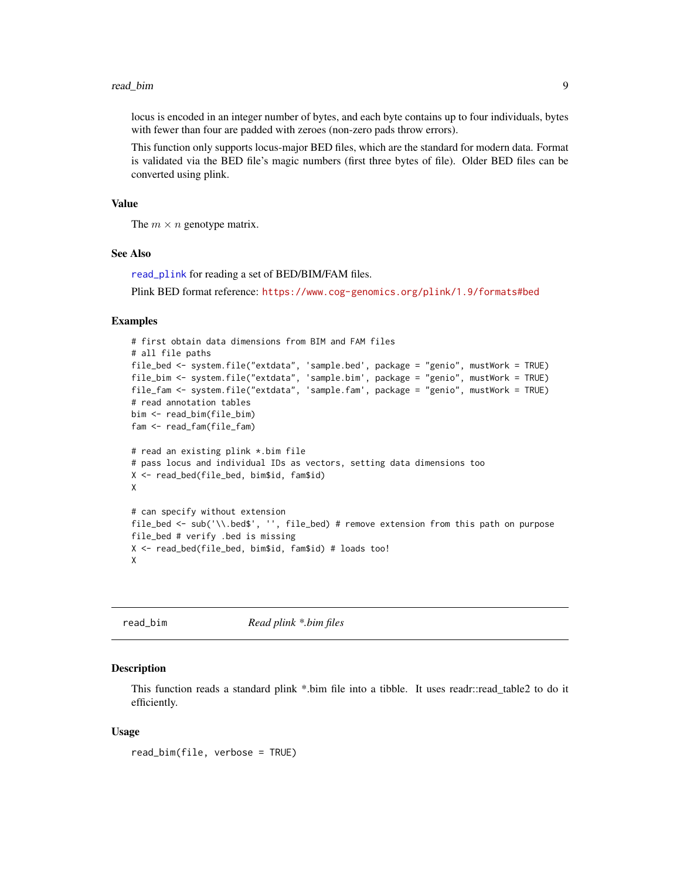#### <span id="page-8-0"></span>read\_bim 9

locus is encoded in an integer number of bytes, and each byte contains up to four individuals, bytes with fewer than four are padded with zeroes (non-zero pads throw errors).

This function only supports locus-major BED files, which are the standard for modern data. Format is validated via the BED file's magic numbers (first three bytes of file). Older BED files can be converted using plink.

#### Value

The  $m \times n$  genotype matrix.

#### See Also

[read\\_plink](#page-12-1) for reading a set of BED/BIM/FAM files.

Plink BED format reference: <https://www.cog-genomics.org/plink/1.9/formats#bed>

#### Examples

```
# first obtain data dimensions from BIM and FAM files
# all file paths
file_bed <- system.file("extdata", 'sample.bed', package = "genio", mustWork = TRUE)
file_bim <- system.file("extdata", 'sample.bim', package = "genio", mustWork = TRUE)
file_fam <- system.file("extdata", 'sample.fam', package = "genio", mustWork = TRUE)
# read annotation tables
bim <- read_bim(file_bim)
fam <- read_fam(file_fam)
# read an existing plink *.bim file
# pass locus and individual IDs as vectors, setting data dimensions too
X <- read_bed(file_bed, bim$id, fam$id)
X
# can specify without extension
file_bed <- sub('\\.bed$', '', file_bed) # remove extension from this path on purpose
file_bed # verify .bed is missing
X <- read_bed(file_bed, bim$id, fam$id) # loads too!
X
```
<span id="page-8-1"></span>

read\_bim *Read plink \*.bim files*

#### **Description**

This function reads a standard plink \*.bim file into a tibble. It uses readr::read\_table2 to do it efficiently.

#### Usage

read\_bim(file, verbose = TRUE)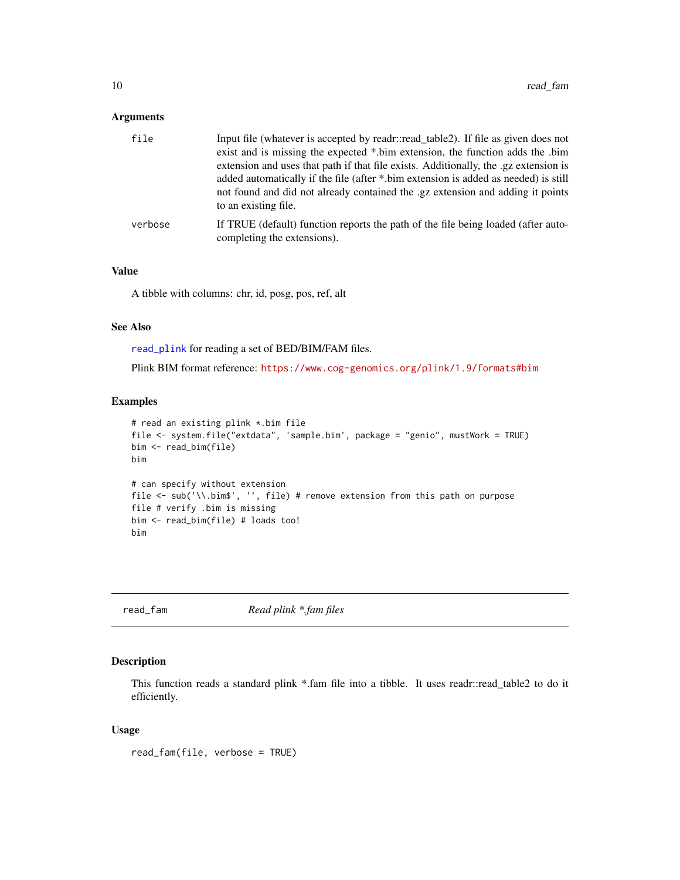#### <span id="page-9-0"></span>Arguments

| file    | Input file (whatever is accepted by readr::read table2). If file as given does not<br>exist and is missing the expected *.bim extension, the function adds the .bim<br>extension and uses that path if that file exists. Additionally, the .gz extension is<br>added automatically if the file (after *.bim extension is added as needed) is still<br>not found and did not already contained the .gz extension and adding it points<br>to an existing file. |
|---------|--------------------------------------------------------------------------------------------------------------------------------------------------------------------------------------------------------------------------------------------------------------------------------------------------------------------------------------------------------------------------------------------------------------------------------------------------------------|
| verbose | If TRUE (default) function reports the path of the file being loaded (after auto-<br>completing the extensions).                                                                                                                                                                                                                                                                                                                                             |

#### Value

A tibble with columns: chr, id, posg, pos, ref, alt

#### See Also

[read\\_plink](#page-12-1) for reading a set of BED/BIM/FAM files.

Plink BIM format reference: <https://www.cog-genomics.org/plink/1.9/formats#bim>

#### Examples

```
# read an existing plink *.bim file
file <- system.file("extdata", 'sample.bim', package = "genio", mustWork = TRUE)
bim <- read_bim(file)
bim
# can specify without extension
file <- sub('\\.bim$', '', file) # remove extension from this path on purpose
file # verify .bim is missing
bim <- read_bim(file) # loads too!
bim
```
<span id="page-9-1"></span>

read\_fam *Read plink \*.fam files*

#### Description

This function reads a standard plink \*.fam file into a tibble. It uses readr::read\_table2 to do it efficiently.

#### Usage

read\_fam(file, verbose = TRUE)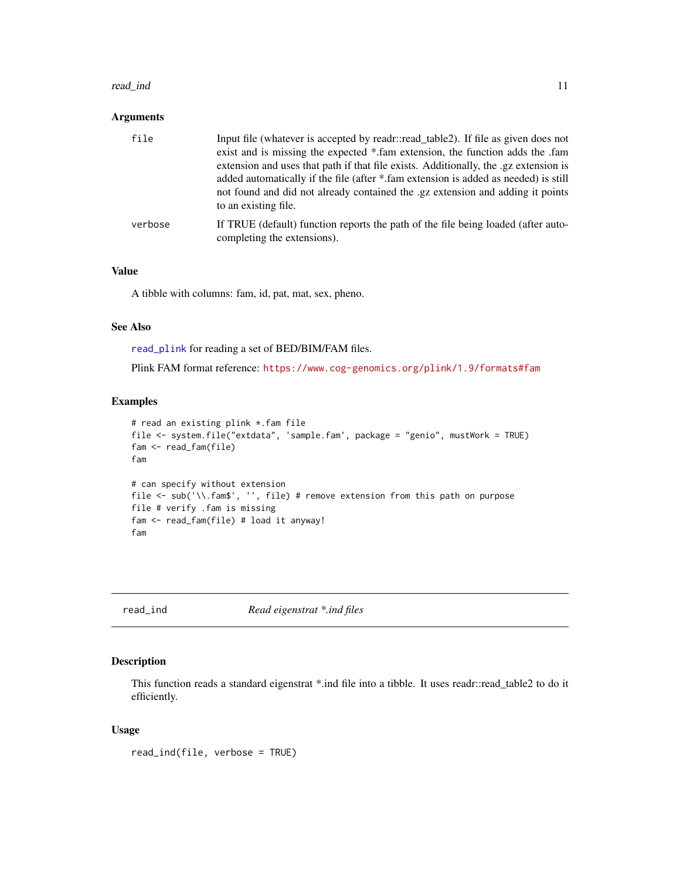#### <span id="page-10-0"></span>read\_ind 11

#### Arguments

| file    | Input file (whatever is accepted by readr::read table2). If file as given does not<br>exist and is missing the expected * fam extension, the function adds the fam<br>extension and uses that path if that file exists. Additionally, the .gz extension is<br>added automatically if the file (after *.fam extension is added as needed) is still<br>not found and did not already contained the .gz extension and adding it points<br>to an existing file. |
|---------|-------------------------------------------------------------------------------------------------------------------------------------------------------------------------------------------------------------------------------------------------------------------------------------------------------------------------------------------------------------------------------------------------------------------------------------------------------------|
| verbose | If TRUE (default) function reports the path of the file being loaded (after auto-<br>completing the extensions).                                                                                                                                                                                                                                                                                                                                            |

#### Value

A tibble with columns: fam, id, pat, mat, sex, pheno.

#### See Also

[read\\_plink](#page-12-1) for reading a set of BED/BIM/FAM files.

Plink FAM format reference: <https://www.cog-genomics.org/plink/1.9/formats#fam>

#### Examples

```
# read an existing plink *.fam file
file <- system.file("extdata", 'sample.fam', package = "genio", mustWork = TRUE)
fam <- read_fam(file)
fam
# can specify without extension
file <- sub('\\.fam$', '', file) # remove extension from this path on purpose
file # verify .fam is missing
fam <- read_fam(file) # load it anyway!
fam
```
read\_ind *Read eigenstrat \*.ind files*

#### Description

This function reads a standard eigenstrat \*.ind file into a tibble. It uses readr::read\_table2 to do it efficiently.

#### Usage

read\_ind(file, verbose = TRUE)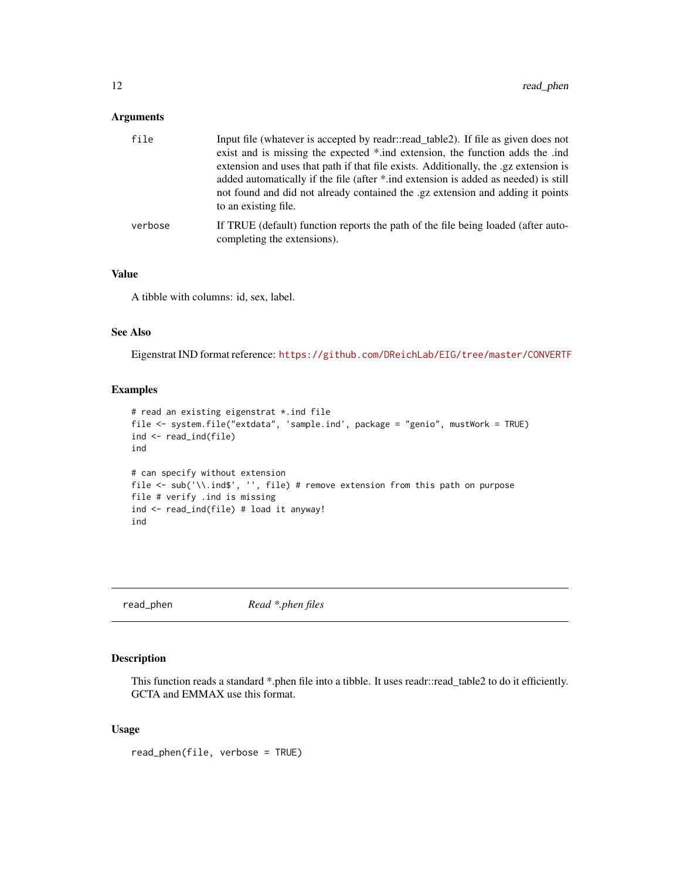#### <span id="page-11-0"></span>Arguments

| file    | Input file (whatever is accepted by readr::read table2). If file as given does not<br>exist and is missing the expected *.ind extension, the function adds the .ind<br>extension and uses that path if that file exists. Additionally, the .gz extension is<br>added automatically if the file (after *.ind extension is added as needed) is still<br>not found and did not already contained the .gz extension and adding it points<br>to an existing file. |
|---------|--------------------------------------------------------------------------------------------------------------------------------------------------------------------------------------------------------------------------------------------------------------------------------------------------------------------------------------------------------------------------------------------------------------------------------------------------------------|
| verbose | If TRUE (default) function reports the path of the file being loaded (after auto-<br>completing the extensions).                                                                                                                                                                                                                                                                                                                                             |

#### Value

A tibble with columns: id, sex, label.

#### See Also

Eigenstrat IND format reference: <https://github.com/DReichLab/EIG/tree/master/CONVERTF>

#### Examples

```
# read an existing eigenstrat *.ind file
file <- system.file("extdata", 'sample.ind', package = "genio", mustWork = TRUE)
ind <- read_ind(file)
ind
# can specify without extension
file <- sub('\\.ind$', '', file) # remove extension from this path on purpose
file # verify .ind is missing
ind <- read_ind(file) # load it anyway!
ind
```
read\_phen *Read \*.phen files*

#### Description

This function reads a standard \*.phen file into a tibble. It uses readr::read\_table2 to do it efficiently. GCTA and EMMAX use this format.

#### Usage

read\_phen(file, verbose = TRUE)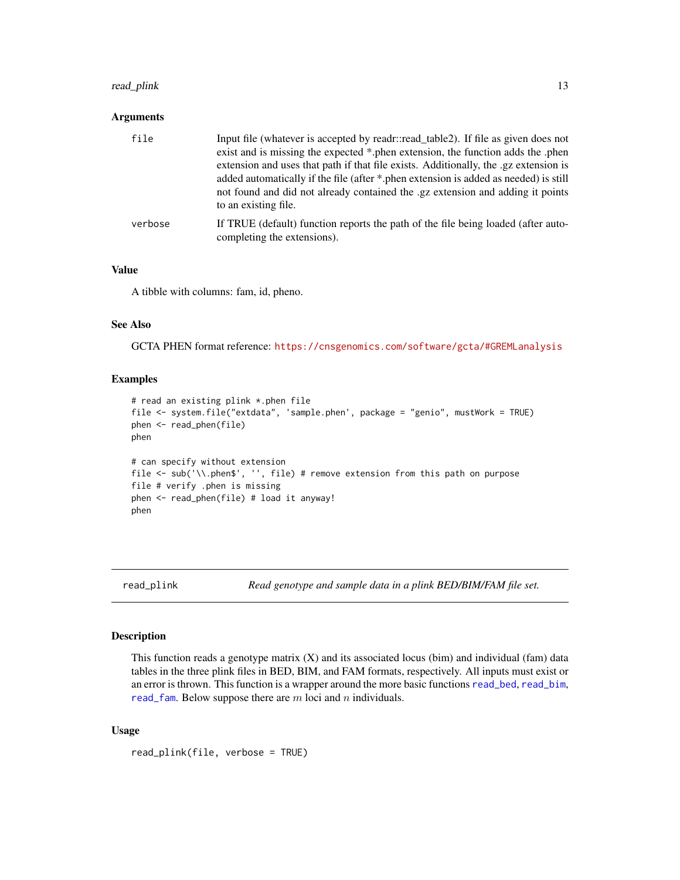#### <span id="page-12-0"></span>read\_plink 13

#### Arguments

| file    | Input file (whatever is accepted by readr::read table2). If file as given does not<br>exist and is missing the expected *.phen extension, the function adds the .phen<br>extension and uses that path if that file exists. Additionally, the .gz extension is<br>added automatically if the file (after *.phen extension is added as needed) is still<br>not found and did not already contained the .gz extension and adding it points |
|---------|-----------------------------------------------------------------------------------------------------------------------------------------------------------------------------------------------------------------------------------------------------------------------------------------------------------------------------------------------------------------------------------------------------------------------------------------|
| verbose | to an existing file.<br>If TRUE (default) function reports the path of the file being loaded (after auto-<br>completing the extensions).                                                                                                                                                                                                                                                                                                |

#### Value

A tibble with columns: fam, id, pheno.

#### See Also

GCTA PHEN format reference: <https://cnsgenomics.com/software/gcta/#GREMLanalysis>

#### Examples

```
# read an existing plink *.phen file
file <- system.file("extdata", 'sample.phen', package = "genio", mustWork = TRUE)
phen <- read_phen(file)
phen
# can specify without extension
file <- sub('\\.phen$', '', file) # remove extension from this path on purpose
file # verify .phen is missing
phen <- read_phen(file) # load it anyway!
phen
```
<span id="page-12-1"></span>read\_plink *Read genotype and sample data in a plink BED/BIM/FAM file set.*

#### Description

This function reads a genotype matrix (X) and its associated locus (bim) and individual (fam) data tables in the three plink files in BED, BIM, and FAM formats, respectively. All inputs must exist or an error is thrown. This function is a wrapper around the more basic functions [read\\_bed](#page-7-1), [read\\_bim](#page-8-1), [read\\_fam](#page-9-1). Below suppose there are  $m$  loci and  $n$  individuals.

#### Usage

```
read_plink(file, verbose = TRUE)
```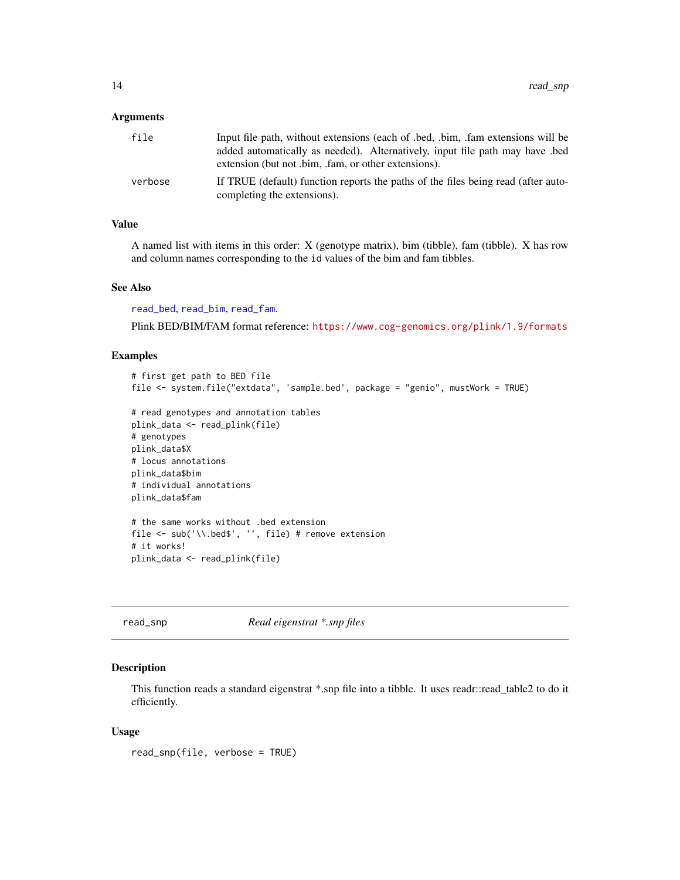#### <span id="page-13-0"></span>**Arguments**

| file    | Input file path, without extensions (each of .bed, .bim, .fam extensions will be<br>added automatically as needed). Alternatively, input file path may have bed<br>extension (but not .bim, .fam, or other extensions). |
|---------|-------------------------------------------------------------------------------------------------------------------------------------------------------------------------------------------------------------------------|
| verbose | If TRUE (default) function reports the paths of the files being read (after auto-<br>completing the extensions).                                                                                                        |

#### Value

A named list with items in this order: X (genotype matrix), bim (tibble), fam (tibble). X has row and column names corresponding to the id values of the bim and fam tibbles.

#### See Also

[read\\_bed](#page-7-1), [read\\_bim](#page-8-1), [read\\_fam](#page-9-1).

Plink BED/BIM/FAM format reference: <https://www.cog-genomics.org/plink/1.9/formats>

#### Examples

```
# first get path to BED file
file <- system.file("extdata", 'sample.bed', package = "genio", mustWork = TRUE)
# read genotypes and annotation tables
plink_data <- read_plink(file)
# genotypes
plink_data$X
# locus annotations
plink_data$bim
# individual annotations
plink_data$fam
# the same works without .bed extension
file <- sub('\\.bed$', '', file) # remove extension
# it works!
plink_data <- read_plink(file)
```
read\_snp *Read eigenstrat \*.snp files*

### Description

This function reads a standard eigenstrat \*.snp file into a tibble. It uses readr::read\_table2 to do it efficiently.

#### Usage

read\_snp(file, verbose = TRUE)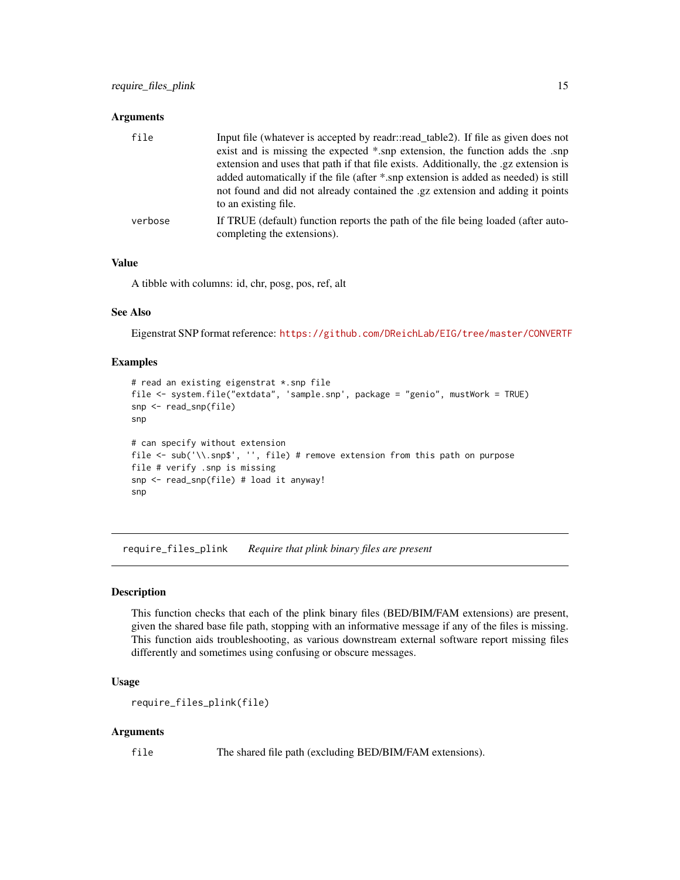#### <span id="page-14-0"></span>**Arguments**

| file    | Input file (whatever is accepted by readr::read_table2). If file as given does not<br>exist and is missing the expected *.snp extension, the function adds the .snp<br>extension and uses that path if that file exists. Additionally, the .gz extension is<br>added automatically if the file (after *.snp extension is added as needed) is still<br>not found and did not already contained the .gz extension and adding it points<br>to an existing file. |
|---------|--------------------------------------------------------------------------------------------------------------------------------------------------------------------------------------------------------------------------------------------------------------------------------------------------------------------------------------------------------------------------------------------------------------------------------------------------------------|
| verbose | If TRUE (default) function reports the path of the file being loaded (after auto-<br>completing the extensions).                                                                                                                                                                                                                                                                                                                                             |

#### Value

A tibble with columns: id, chr, posg, pos, ref, alt

#### See Also

Eigenstrat SNP format reference: <https://github.com/DReichLab/EIG/tree/master/CONVERTF>

#### Examples

```
# read an existing eigenstrat *.snp file
file <- system.file("extdata", 'sample.snp', package = "genio", mustWork = TRUE)
snp <- read_snp(file)
snp
# can specify without extension
file <- sub('\\.snp$', '', file) # remove extension from this path on purpose
file # verify .snp is missing
snp <- read_snp(file) # load it anyway!
snp
```
require\_files\_plink *Require that plink binary files are present*

#### Description

This function checks that each of the plink binary files (BED/BIM/FAM extensions) are present, given the shared base file path, stopping with an informative message if any of the files is missing. This function aids troubleshooting, as various downstream external software report missing files differently and sometimes using confusing or obscure messages.

#### Usage

```
require_files_plink(file)
```
#### Arguments

file The shared file path (excluding BED/BIM/FAM extensions).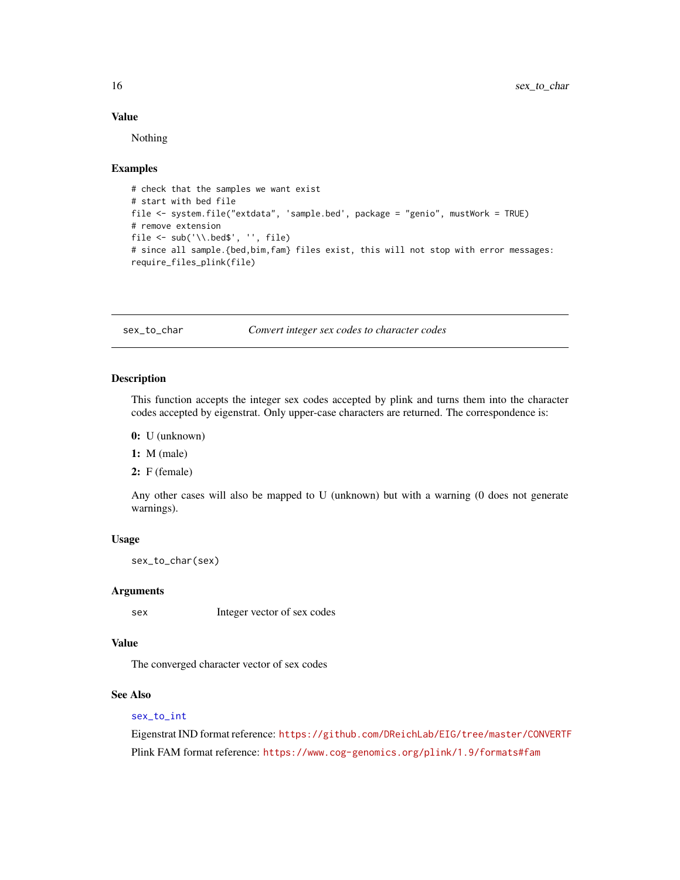#### Value

Nothing

#### Examples

```
# check that the samples we want exist
# start with bed file
file <- system.file("extdata", 'sample.bed', package = "genio", mustWork = TRUE)
# remove extension
file \leq sub('\\.bed$', '', file)
# since all sample.{bed,bim,fam} files exist, this will not stop with error messages:
require_files_plink(file)
```
<span id="page-15-1"></span>sex\_to\_char *Convert integer sex codes to character codes*

#### Description

This function accepts the integer sex codes accepted by plink and turns them into the character codes accepted by eigenstrat. Only upper-case characters are returned. The correspondence is:

0: U (unknown)

1: M (male)

2: F (female)

Any other cases will also be mapped to U (unknown) but with a warning (0 does not generate warnings).

#### Usage

sex\_to\_char(sex)

#### Arguments

sex Integer vector of sex codes

#### Value

The converged character vector of sex codes

#### See Also

#### [sex\\_to\\_int](#page-16-1)

Eigenstrat IND format reference: <https://github.com/DReichLab/EIG/tree/master/CONVERTF> Plink FAM format reference: <https://www.cog-genomics.org/plink/1.9/formats#fam>

<span id="page-15-0"></span>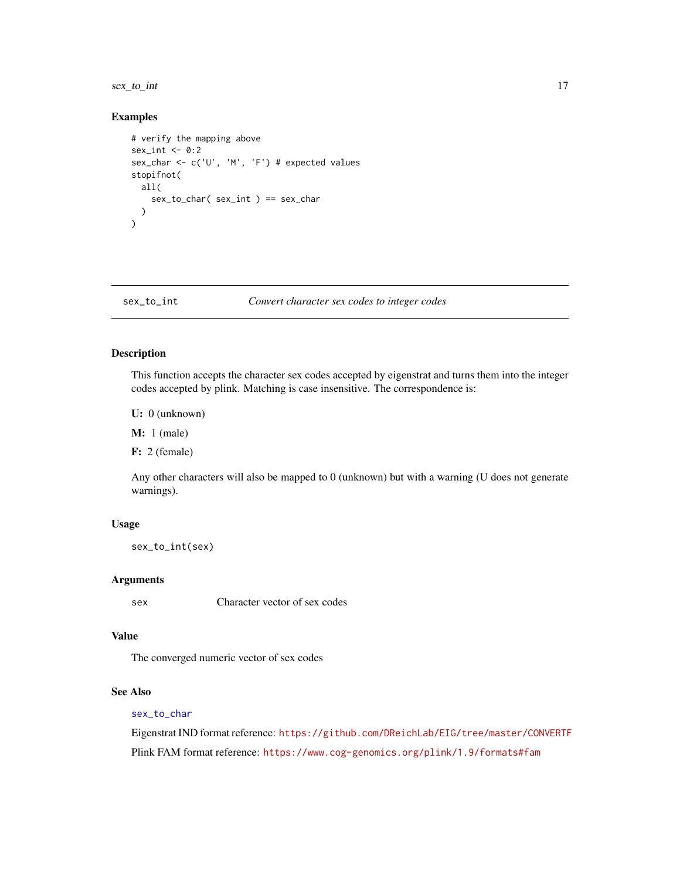#### <span id="page-16-0"></span>sex\_to\_int 17

#### Examples

```
# verify the mapping above
sex\_int < -0:2sex_char <- c('U', 'M', 'F') # expected values
stopifnot(
  all(
    sex_to_char( sex_int ) == sex_char
  )
)
```
#### <span id="page-16-1"></span>sex\_to\_int *Convert character sex codes to integer codes*

#### Description

This function accepts the character sex codes accepted by eigenstrat and turns them into the integer codes accepted by plink. Matching is case insensitive. The correspondence is:

U: 0 (unknown)

**M:** 1 (male)

F: 2 (female)

Any other characters will also be mapped to 0 (unknown) but with a warning (U does not generate warnings).

#### Usage

sex\_to\_int(sex)

#### Arguments

sex Character vector of sex codes

#### Value

The converged numeric vector of sex codes

#### See Also

#### [sex\\_to\\_char](#page-15-1)

Eigenstrat IND format reference: <https://github.com/DReichLab/EIG/tree/master/CONVERTF> Plink FAM format reference: <https://www.cog-genomics.org/plink/1.9/formats#fam>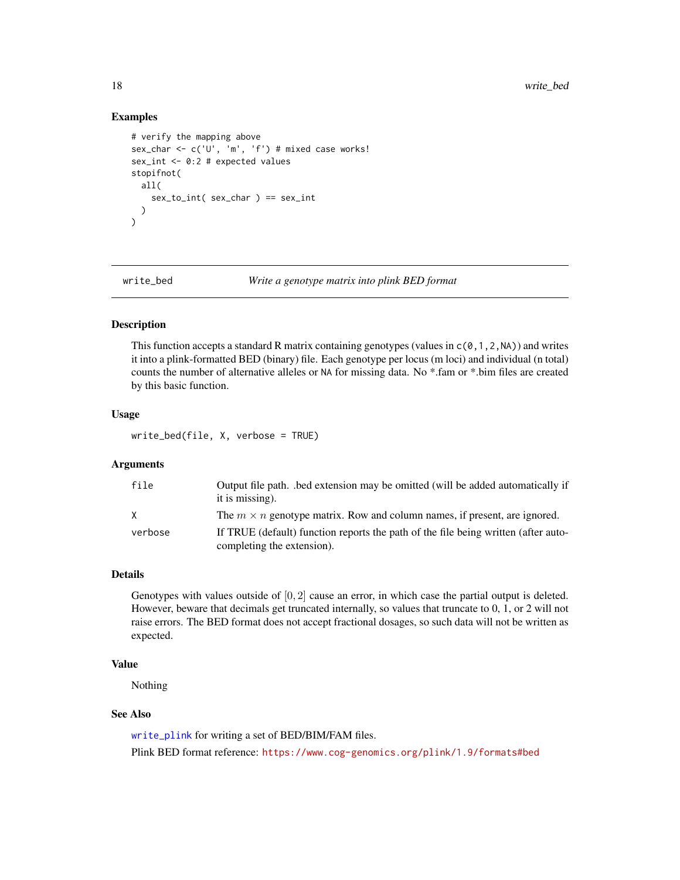#### Examples

```
# verify the mapping above
sex_char <- c('U', 'm', 'f') # mixed case works!
sex_int <- 0:2 # expected values
stopifnot(
  all(
    sex_to_int( sex_char ) == sex_int
  )
\lambda
```
<span id="page-17-1"></span>

write\_bed *Write a genotype matrix into plink BED format*

#### Description

This function accepts a standard R matrix containing genotypes (values in  $c(0,1,2,N)$ ) and writes it into a plink-formatted BED (binary) file. Each genotype per locus (m loci) and individual (n total) counts the number of alternative alleles or NA for missing data. No \*.fam or \*.bim files are created by this basic function.

#### Usage

write\_bed(file, X, verbose = TRUE)

#### Arguments

| file    | Output file path. bed extension may be omitted (will be added automatically if<br>it is missing). |
|---------|---------------------------------------------------------------------------------------------------|
| X       | The $m \times n$ genotype matrix. Row and column names, if present, are ignored.                  |
| verbose | If TRUE (default) function reports the path of the file being written (after auto-                |
|         | completing the extension).                                                                        |

#### Details

Genotypes with values outside of  $[0, 2]$  cause an error, in which case the partial output is deleted. However, beware that decimals get truncated internally, so values that truncate to 0, 1, or 2 will not raise errors. The BED format does not accept fractional dosages, so such data will not be written as expected.

#### Value

Nothing

#### See Also

[write\\_plink](#page-22-1) for writing a set of BED/BIM/FAM files.

Plink BED format reference: <https://www.cog-genomics.org/plink/1.9/formats#bed>

<span id="page-17-0"></span>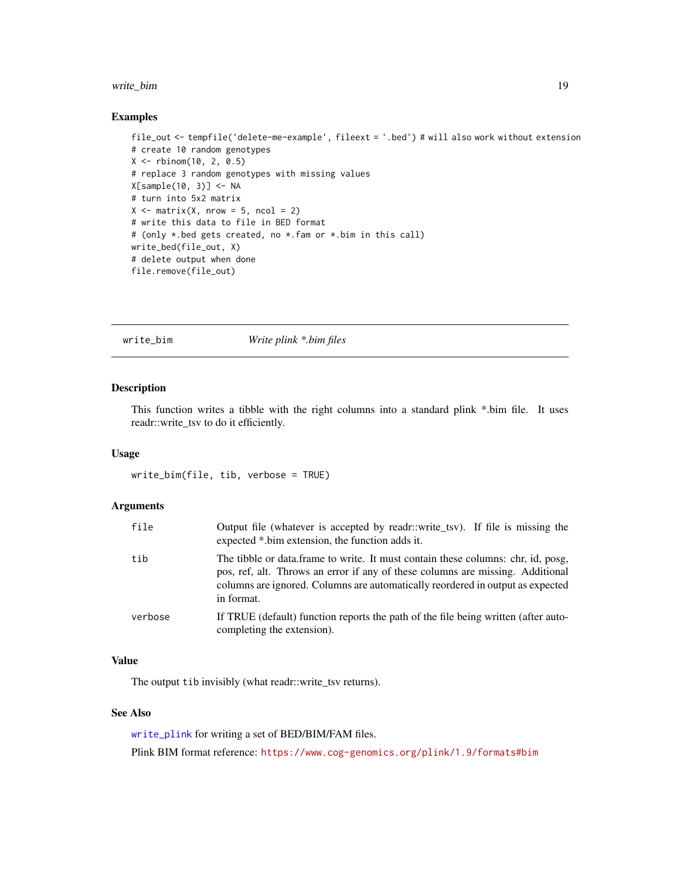#### <span id="page-18-0"></span>write\_bim 19

#### Examples

```
file_out <- tempfile('delete-me-example', fileext = '.bed') # will also work without extension
# create 10 random genotypes
X <- rbinom(10, 2, 0.5)
# replace 3 random genotypes with missing values
X[sample(10, 3)] <- NA
# turn into 5x2 matrix
X \leq - matrix(X, nrow = 5, ncol = 2)
# write this data to file in BED format
# (only *.bed gets created, no *.fam or *.bim in this call)
write_bed(file_out, X)
# delete output when done
file.remove(file_out)
```
<span id="page-18-1"></span>

write\_bim *Write plink \*.bim files*

#### Description

This function writes a tibble with the right columns into a standard plink \*.bim file. It uses readr::write\_tsv to do it efficiently.

#### Usage

write\_bim(file, tib, verbose = TRUE)

#### Arguments

| file    | Output file (whatever is accepted by readr::write tsv). If file is missing the<br>expected *.bim extension, the function adds it.                                                                                                                                  |
|---------|--------------------------------------------------------------------------------------------------------------------------------------------------------------------------------------------------------------------------------------------------------------------|
| tib     | The tibble or data frame to write. It must contain these columns: chr, id, posg,<br>pos, ref, alt. Throws an error if any of these columns are missing. Additional<br>columns are ignored. Columns are automatically reordered in output as expected<br>in format. |
| verbose | If TRUE (default) function reports the path of the file being written (after auto-<br>completing the extension).                                                                                                                                                   |

#### Value

The output tib invisibly (what readr::write\_tsv returns).

#### See Also

[write\\_plink](#page-22-1) for writing a set of BED/BIM/FAM files.

Plink BIM format reference: <https://www.cog-genomics.org/plink/1.9/formats#bim>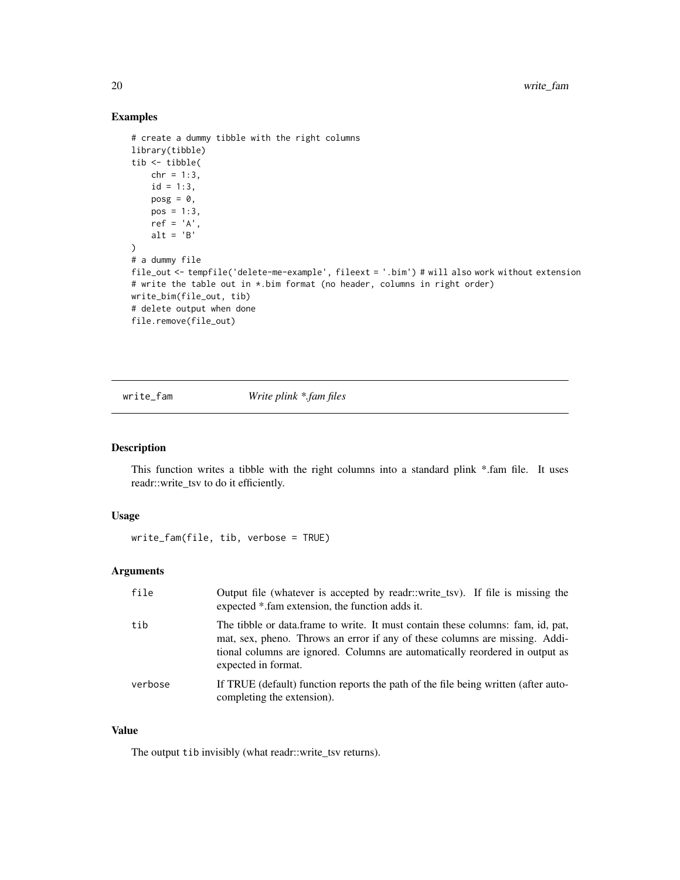#### Examples

```
# create a dummy tibble with the right columns
library(tibble)
tib <- tibble(
    chr = 1:3,id = 1:3,posg = 0,
    pos = 1:3,
    ref = 'A',alt = 'B'\mathcal{L}# a dummy file
file_out <- tempfile('delete-me-example', fileext = '.bim') # will also work without extension
# write the table out in *.bim format (no header, columns in right order)
write_bim(file_out, tib)
# delete output when done
file.remove(file_out)
```
<span id="page-19-1"></span>write\_fam *Write plink \*.fam files*

#### Description

This function writes a tibble with the right columns into a standard plink \*.fam file. It uses readr::write\_tsv to do it efficiently.

#### Usage

```
write_fam(file, tib, verbose = TRUE)
```
#### Arguments

| file    | Output file (whatever is accepted by readr::write_tsv). If file is missing the<br>expected *.fam extension, the function adds it.                                                                                                                                     |
|---------|-----------------------------------------------------------------------------------------------------------------------------------------------------------------------------------------------------------------------------------------------------------------------|
| tib     | The tibble or data frame to write. It must contain these columns: fam, id, pat,<br>mat, sex, pheno. Throws an error if any of these columns are missing. Addi-<br>tional columns are ignored. Columns are automatically reordered in output as<br>expected in format. |
| verbose | If TRUE (default) function reports the path of the file being written (after auto-<br>completing the extension).                                                                                                                                                      |

#### Value

The output tib invisibly (what readr::write\_tsv returns).

<span id="page-19-0"></span>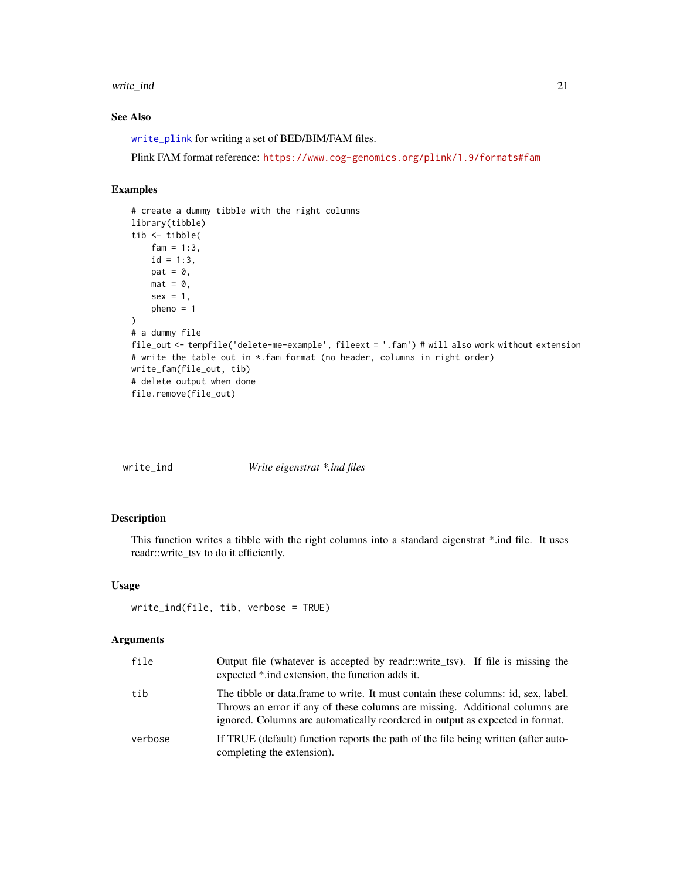#### <span id="page-20-0"></span>write\_ind 21

#### See Also

[write\\_plink](#page-22-1) for writing a set of BED/BIM/FAM files.

Plink FAM format reference: <https://www.cog-genomics.org/plink/1.9/formats#fam>

#### Examples

```
# create a dummy tibble with the right columns
library(tibble)
tib <- tibble(
   fam = 1:3,id = 1:3,
   pat = 0,mat = 0,sex = 1,
   pheno = 1
\lambda# a dummy file
file_out <- tempfile('delete-me-example', fileext = '.fam') # will also work without extension
# write the table out in *.fam format (no header, columns in right order)
write_fam(file_out, tib)
# delete output when done
file.remove(file_out)
```

| $write\_ind$ | Write eigenstrat *.ind files |
|--------------|------------------------------|
|              |                              |

#### Description

This function writes a tibble with the right columns into a standard eigenstrat \*.ind file. It uses readr::write\_tsv to do it efficiently.

#### Usage

```
write_ind(file, tib, verbose = TRUE)
```
#### Arguments

| file    | Output file (whatever is accepted by readr::write_tsv). If file is missing the<br>expected *.ind extension, the function adds it.                                                                                                                 |
|---------|---------------------------------------------------------------------------------------------------------------------------------------------------------------------------------------------------------------------------------------------------|
| tib     | The tibble or data frame to write. It must contain these columns: id, sex, label.<br>Throws an error if any of these columns are missing. Additional columns are<br>ignored. Columns are automatically reordered in output as expected in format. |
| verbose | If TRUE (default) function reports the path of the file being written (after auto-<br>completing the extension).                                                                                                                                  |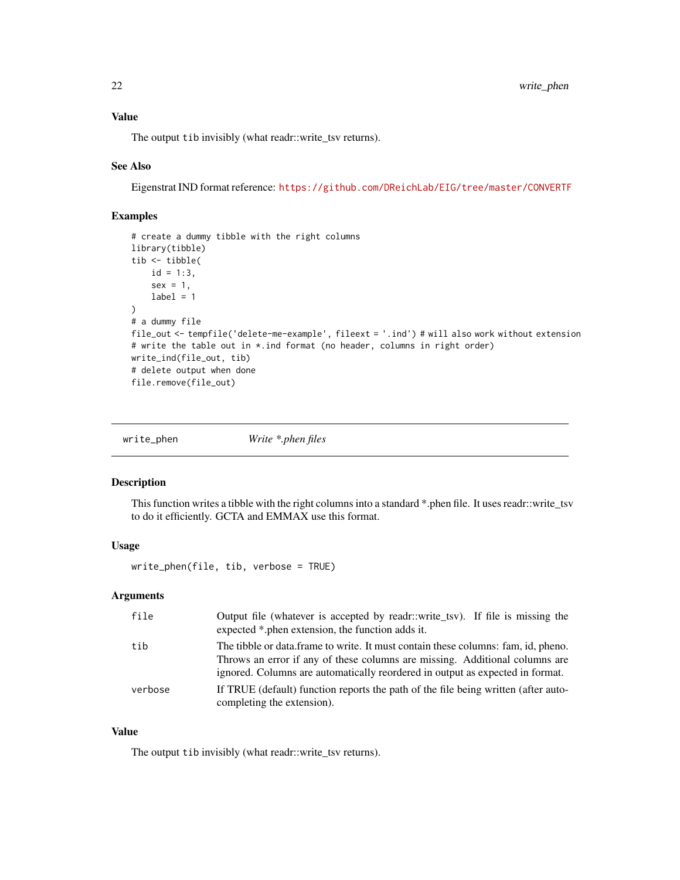<span id="page-21-0"></span>The output tib invisibly (what readr::write\_tsv returns).

#### See Also

Eigenstrat IND format reference: <https://github.com/DReichLab/EIG/tree/master/CONVERTF>

#### Examples

```
# create a dummy tibble with the right columns
library(tibble)
tib <- tibble(
    id = 1:3,
    sex = 1,
    label = 1\lambda# a dummy file
file_out <- tempfile('delete-me-example', fileext = '.ind') # will also work without extension
# write the table out in *.ind format (no header, columns in right order)
write_ind(file_out, tib)
# delete output when done
file.remove(file_out)
```
write\_phen *Write \*.phen files*

#### Description

This function writes a tibble with the right columns into a standard \*.phen file. It uses readr::write\_tsv to do it efficiently. GCTA and EMMAX use this format.

#### Usage

write\_phen(file, tib, verbose = TRUE)

#### Arguments

| file    | Output file (whatever is accepted by readr::write_tsv). If file is missing the<br>expected *.phen extension, the function adds it.                                                                                                                |
|---------|---------------------------------------------------------------------------------------------------------------------------------------------------------------------------------------------------------------------------------------------------|
| tib     | The tibble or data frame to write. It must contain these columns: fam, id, pheno.<br>Throws an error if any of these columns are missing. Additional columns are<br>ignored. Columns are automatically reordered in output as expected in format. |
| verbose | If TRUE (default) function reports the path of the file being written (after auto-<br>completing the extension).                                                                                                                                  |

#### Value

The output tib invisibly (what readr::write\_tsv returns).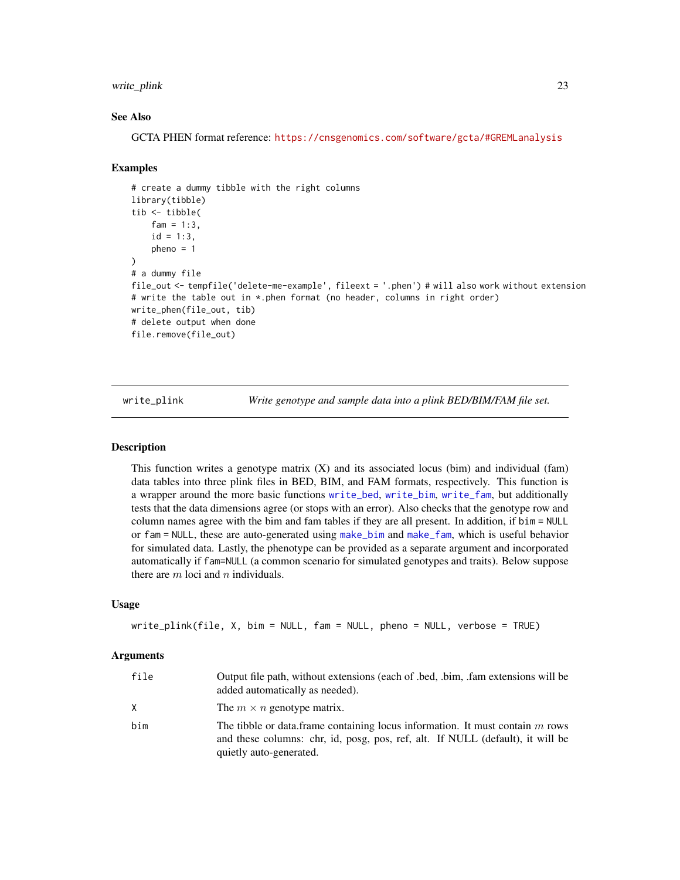#### <span id="page-22-0"></span>write\_plink 23

#### See Also

GCTA PHEN format reference: <https://cnsgenomics.com/software/gcta/#GREMLanalysis>

#### Examples

```
# create a dummy tibble with the right columns
library(tibble)
tib <- tibble(
    fam = 1:3,
    id = 1:3,pheno = 1
)
# a dummy file
file_out <- tempfile('delete-me-example', fileext = '.phen') # will also work without extension
# write the table out in *.phen format (no header, columns in right order)
write_phen(file_out, tib)
# delete output when done
file.remove(file_out)
```
<span id="page-22-1"></span>write\_plink *Write genotype and sample data into a plink BED/BIM/FAM file set.*

#### **Description**

This function writes a genotype matrix  $(X)$  and its associated locus (bim) and individual (fam) data tables into three plink files in BED, BIM, and FAM formats, respectively. This function is a wrapper around the more basic functions [write\\_bed](#page-17-1), [write\\_bim](#page-18-1), [write\\_fam](#page-19-1), but additionally tests that the data dimensions agree (or stops with an error). Also checks that the genotype row and column names agree with the bim and fam tables if they are all present. In addition, if bim = NULL or fam = NULL, these are auto-generated using [make\\_bim](#page-4-1) and [make\\_fam](#page-5-1), which is useful behavior for simulated data. Lastly, the phenotype can be provided as a separate argument and incorporated automatically if fam=NULL (a common scenario for simulated genotypes and traits). Below suppose there are  $m$  loci and  $n$  individuals.

#### Usage

```
write_plink(file, X, bim = NULL, fam = NULL, pheno = NULL, verbose = TRUE)
```
#### Arguments

| file | Output file path, without extensions (each of .bed, .bim, .fam extensions will be<br>added automatically as needed).                                                                         |
|------|----------------------------------------------------------------------------------------------------------------------------------------------------------------------------------------------|
| X.   | The $m \times n$ genotype matrix.                                                                                                                                                            |
| bim  | The tibble or data.frame containing locus information. It must contain $m$ rows<br>and these columns: chr, id, posg, pos, ref, alt. If NULL (default), it will be<br>quietly auto-generated. |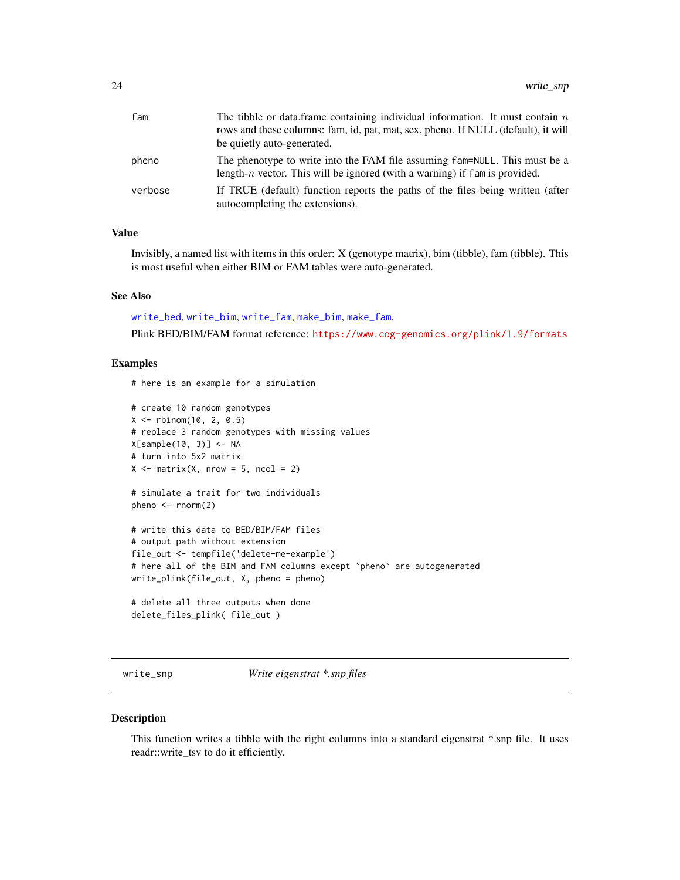<span id="page-23-0"></span>

| fam     | The tibble or data. frame containing individual information. It must contain $n$<br>rows and these columns: fam, id, pat, mat, sex, pheno. If NULL (default), it will<br>be quietly auto-generated. |
|---------|-----------------------------------------------------------------------------------------------------------------------------------------------------------------------------------------------------|
| pheno   | The phenotype to write into the FAM file assuming fam=NULL. This must be a<br>length- $n$ vector. This will be ignored (with a warning) if fam is provided.                                         |
| verbose | If TRUE (default) function reports the paths of the files being written (after<br>autocompleting the extensions).                                                                                   |

#### Value

Invisibly, a named list with items in this order: X (genotype matrix), bim (tibble), fam (tibble). This is most useful when either BIM or FAM tables were auto-generated.

#### See Also

[write\\_bed](#page-17-1), [write\\_bim](#page-18-1), [write\\_fam](#page-19-1), [make\\_bim](#page-4-1), [make\\_fam](#page-5-1).

Plink BED/BIM/FAM format reference: <https://www.cog-genomics.org/plink/1.9/formats>

#### Examples

# here is an example for a simulation

```
# create 10 random genotypes
X <- rbinom(10, 2, 0.5)
# replace 3 random genotypes with missing values
X[sample(10, 3)] <- NA
# turn into 5x2 matrix
X \le matrix(X, nrow = 5, ncol = 2)
# simulate a trait for two individuals
pheno \leq rnorm(2)
# write this data to BED/BIM/FAM files
# output path without extension
file_out <- tempfile('delete-me-example')
# here all of the BIM and FAM columns except `pheno` are autogenerated
write_plink(file_out, X, pheno = pheno)
# delete all three outputs when done
delete_files_plink( file_out )
```
write\_snp *Write eigenstrat \*.snp files*

#### Description

This function writes a tibble with the right columns into a standard eigenstrat \*.snp file. It uses readr::write\_tsv to do it efficiently.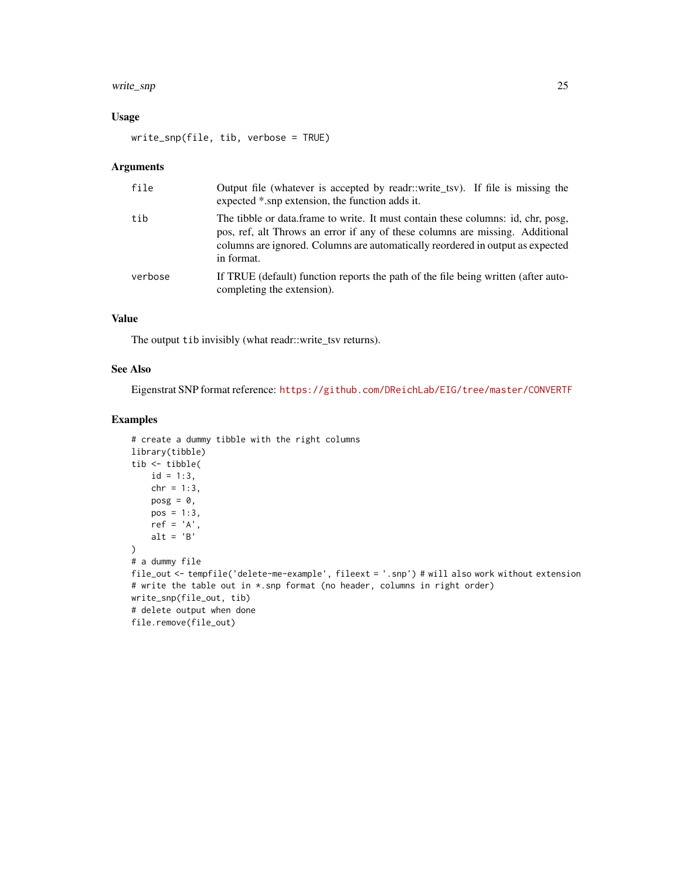#### write\_snp 25

#### Usage

```
write_snp(file, tib, verbose = TRUE)
```
#### Arguments

| file    | Output file (whatever is accepted by readr::write_tsv). If file is missing the<br>expected *.snp extension, the function adds it.                                                                                                                                 |
|---------|-------------------------------------------------------------------------------------------------------------------------------------------------------------------------------------------------------------------------------------------------------------------|
| tib     | The tibble or data.frame to write. It must contain these columns: id, chr, posg,<br>pos, ref, alt Throws an error if any of these columns are missing. Additional<br>columns are ignored. Columns are automatically reordered in output as expected<br>in format. |
| verbose | If TRUE (default) function reports the path of the file being written (after auto-<br>completing the extension).                                                                                                                                                  |

### Value

The output tib invisibly (what readr::write\_tsv returns).

#### See Also

Eigenstrat SNP format reference: <https://github.com/DReichLab/EIG/tree/master/CONVERTF>

#### Examples

```
# create a dummy tibble with the right columns
library(tibble)
tib <- tibble(
    id = 1:3,chr = 1:3,posg = 0,
    pos = 1:3,
    ref = 'A',alt = 'B'\lambda# a dummy file
file_out <- tempfile('delete-me-example', fileext = '.snp') # will also work without extension
# write the table out in *.snp format (no header, columns in right order)
write_snp(file_out, tib)
# delete output when done
file.remove(file_out)
```